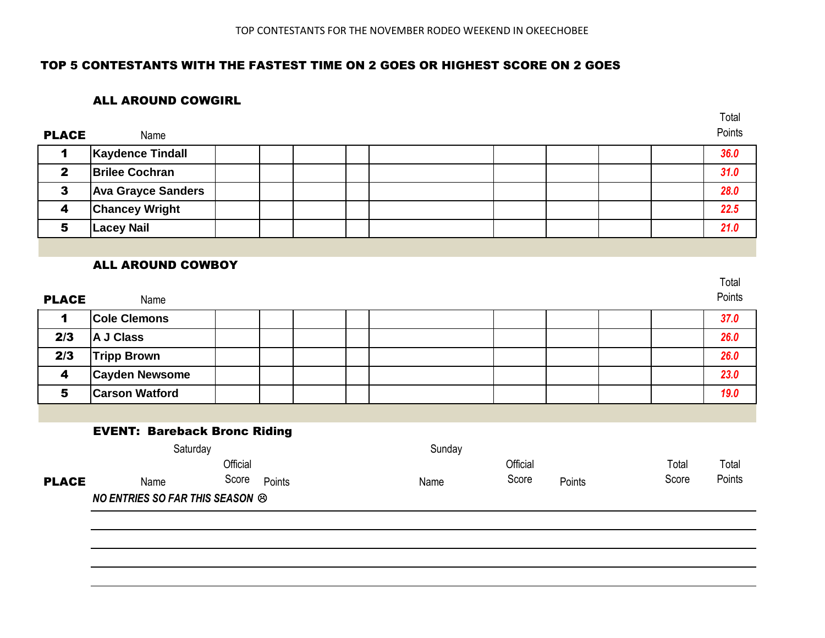## TOP 5 CONTESTANTS WITH THE FASTEST TIME ON 2 GOES OR HIGHEST SCORE ON 2 GOES

### ALL AROUND COWGIRL

|                         |                                        |          |        |  |        |          |        |       | Total  |
|-------------------------|----------------------------------------|----------|--------|--|--------|----------|--------|-------|--------|
| <b>PLACE</b>            | Name                                   |          |        |  |        |          |        |       | Points |
| 1                       | <b>Kaydence Tindall</b>                |          |        |  |        |          |        |       | 36.0   |
| $\overline{2}$          | <b>Brilee Cochran</b>                  |          |        |  |        |          |        |       | 31.0   |
| $\mathbf{3}$            | <b>Ava Grayce Sanders</b>              |          |        |  |        |          |        |       | 28.0   |
| $\overline{\mathbf{4}}$ | <b>Chancey Wright</b>                  |          |        |  |        |          |        |       | 22.5   |
| 5                       | <b>Lacey Nail</b>                      |          |        |  |        |          |        |       | 21.0   |
|                         |                                        |          |        |  |        |          |        |       |        |
|                         | <b>ALL AROUND COWBOY</b>               |          |        |  |        |          |        |       |        |
|                         |                                        |          |        |  |        |          |        |       | Total  |
| <b>PLACE</b>            | Name                                   |          |        |  |        |          |        |       | Points |
| 1                       | <b>Cole Clemons</b>                    |          |        |  |        |          |        |       | 37.0   |
| 2/3                     | A J Class                              |          |        |  |        |          |        |       | 26.0   |
| 2/3                     | <b>Tripp Brown</b>                     |          |        |  |        |          |        |       | 26.0   |
| 4                       | <b>Cayden Newsome</b>                  |          |        |  |        |          |        |       | 23.0   |
| 5                       | <b>Carson Watford</b>                  |          |        |  |        |          |        |       | 19.0   |
|                         |                                        |          |        |  |        |          |        |       |        |
|                         | <b>EVENT: Bareback Bronc Riding</b>    |          |        |  |        |          |        |       |        |
|                         | Saturday                               |          |        |  | Sunday |          |        |       |        |
|                         |                                        | Official |        |  |        | Official |        | Total | Total  |
| <b>PLACE</b>            | Name                                   | Score    | Points |  | Name   | Score    | Points | Score | Points |
|                         | <b>NO ENTRIES SO FAR THIS SEASON ®</b> |          |        |  |        |          |        |       |        |
|                         |                                        |          |        |  |        |          |        |       |        |
|                         |                                        |          |        |  |        |          |        |       |        |
|                         |                                        |          |        |  |        |          |        |       |        |
|                         |                                        |          |        |  |        |          |        |       |        |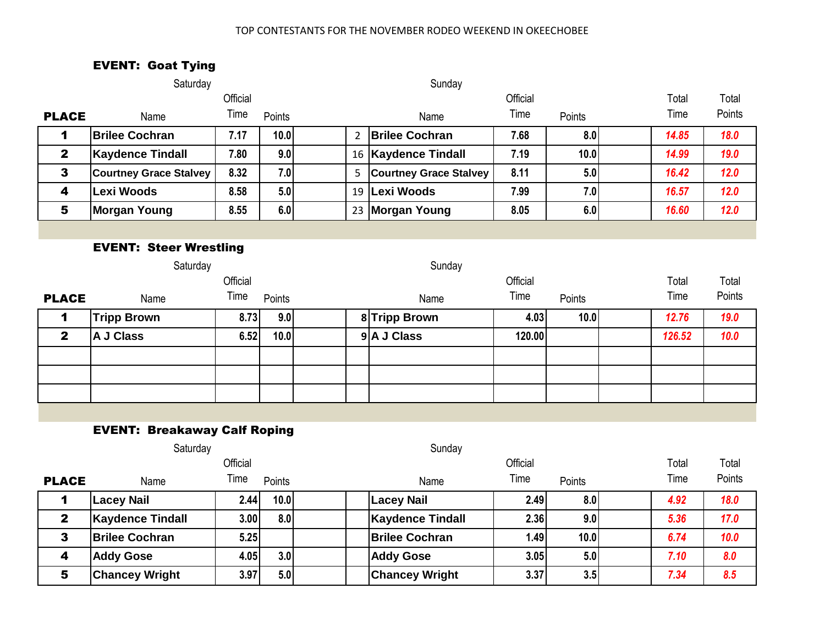# EVENT: Goat Tying

|              | Saturday                      |          |        |                | Sunday                        |          |        |        |        |
|--------------|-------------------------------|----------|--------|----------------|-------------------------------|----------|--------|--------|--------|
|              |                               | Official |        |                |                               | Total    | Total  |        |        |
| <b>PLACE</b> | Name                          | Time     | Points |                | Name                          | Time     | Points | Time   | Points |
| 1            | <b>Brilee Cochran</b>         | 7.17     | 10.0   | $\overline{2}$ | <b>Brilee Cochran</b>         | 7.68     | 8.0    | 14.85  | 18.0   |
| $\mathbf{2}$ | <b>Kaydence Tindall</b>       | 7.80     | 9.0    |                | 16   Kaydence Tindall         | 7.19     | 10.0   | 14.99  | 19.0   |
| $\mathbf{3}$ | <b>Courtney Grace Stalvey</b> | 8.32     | 7.0    | 5              | <b>Courtney Grace Stalvey</b> | 8.11     | 5.0    | 16.42  | 12.0   |
| 4            | <b>Lexi Woods</b>             | 8.58     | 5.0    | 19             | <b>Lexi Woods</b>             | 7.99     | 7.0    | 16.57  | 12.0   |
| 5            | <b>Morgan Young</b>           | 8.55     | 6.0    |                | 23 Morgan Young               | 8.05     | 6.0    | 16.60  | 12.0   |
|              |                               |          |        |                |                               |          |        |        |        |
|              | <b>EVENT: Steer Wrestling</b> |          |        |                |                               |          |        |        |        |
|              | Saturday                      |          |        |                | Sunday                        |          |        |        |        |
|              |                               |          |        |                |                               | Official |        | Total  | Total  |
|              |                               | Official |        |                |                               |          |        |        |        |
| <b>PLACE</b> | Name                          | Time     | Points |                | Name                          | Time     | Points | Time   | Points |
| $\mathbf 1$  | <b>Tripp Brown</b>            | 8.73     | 9.0    |                | 8 Tripp Brown                 | 4.03     | 10.0   | 12.76  | 19.0   |
| $\mathbf{2}$ | A J Class                     | 6.52     | 10.0   |                | 9 A J Class                   | 120.00   |        | 126.52 | 10.0   |
|              |                               |          |        |                |                               |          |        |        |        |
|              |                               |          |        |                |                               |          |        |        |        |
|              |                               |          |        |                |                               |          |        |        |        |
|              |                               |          |        |                |                               |          |        |        |        |

#### EVENT: Breakaway Calf Roping

|                  | Saturday                |          |                  | Sunday                |                   |        |  |      |        |
|------------------|-------------------------|----------|------------------|-----------------------|-------------------|--------|--|------|--------|
|                  |                         | Official |                  |                       | Official          |        |  |      | Total  |
| <b>PLACE</b>     | Name                    | Time     | Points           | Name                  | Time              | Points |  | Time | Points |
|                  | <b>Lacey Nail</b>       | 2.44     | 10.0             | <b>Lacey Nail</b>     | 2.49              | 8.0    |  | 4.92 | 18.0   |
| $\mathbf{2}$     | <b>Kaydence Tindall</b> | 3.00     | 8.0              | Kaydence Tindall      | 2.36              | 9.0    |  | 5.36 | 17.0   |
| 3                | <b>Brilee Cochran</b>   | 5.25     |                  | <b>Brilee Cochran</b> | 1.49 <sub>l</sub> | 10.0   |  | 6.74 | 10.0   |
| $\boldsymbol{4}$ | <b>Addy Gose</b>        | 4.05     | 3.0 <sub>l</sub> | <b>Addy Gose</b>      | 3.05              | 5.0    |  | 7.10 | 8.0    |
| 5                | <b>Chancey Wright</b>   | 3.97     | 5.0              | <b>Chancey Wright</b> | 3.37              | 3.5    |  | 7.34 | 8.5    |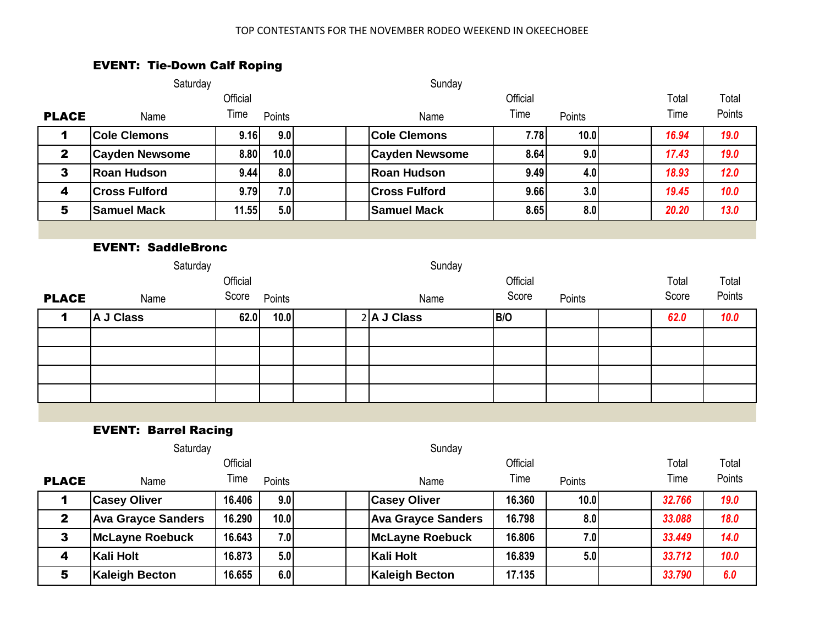# EVENT: Tie-Down Calf Roping

|                           | Saturday                    |          |        | Sunday |                           |          |        |  |        |        |
|---------------------------|-----------------------------|----------|--------|--------|---------------------------|----------|--------|--|--------|--------|
|                           |                             | Official |        |        |                           | Official |        |  | Total  | Total  |
| <b>PLACE</b>              | Name                        | Time     | Points |        | Name                      | Time     | Points |  | Time   | Points |
| 1                         | <b>Cole Clemons</b>         | 9.16     | 9.0    |        | <b>Cole Clemons</b>       | 7.78     | 10.0   |  | 16.94  | 19.0   |
| $\mathbf{2}$              | <b>Cayden Newsome</b>       | 8.80     | 10.0   |        | <b>Cayden Newsome</b>     | 8.64     | 9.0    |  | 17.43  | 19.0   |
| $\mathbf{3}$              | <b>Roan Hudson</b>          | 9.44     | 8.0    |        | <b>Roan Hudson</b>        | 9.49     | 4.0    |  | 18.93  | 12.0   |
| 4                         | <b>Cross Fulford</b>        | 9.79     | 7.0    |        | <b>Cross Fulford</b>      | 9.66     | 3.0    |  | 19.45  | 10.0   |
| $\overline{\mathbf{5}}$   | <b>Samuel Mack</b>          | 11.55    | 5.0    |        | <b>Samuel Mack</b>        | 8.65     | 8.0    |  | 20.20  | $13.0$ |
|                           |                             |          |        |        |                           |          |        |  |        |        |
| <b>EVENT: SaddleBronc</b> |                             |          |        |        |                           |          |        |  |        |        |
|                           | Sunday<br>Saturday          |          |        |        |                           |          |        |  |        |        |
|                           |                             | Official |        |        |                           | Official |        |  | Total  | Total  |
| <b>PLACE</b>              | Name                        | Score    | Points |        | Name                      | Score    | Points |  | Score  | Points |
| 1                         | A J Class                   | 62.0     | 10.0   |        | $2$ <b>A J Class</b>      | B/O      |        |  | 62.0   | 10.0   |
|                           |                             |          |        |        |                           |          |        |  |        |        |
|                           |                             |          |        |        |                           |          |        |  |        |        |
|                           |                             |          |        |        |                           |          |        |  |        |        |
|                           |                             |          |        |        |                           |          |        |  |        |        |
|                           |                             |          |        |        |                           |          |        |  |        |        |
|                           | <b>EVENT: Barrel Racing</b> |          |        |        |                           |          |        |  |        |        |
|                           | Saturday                    |          |        |        | Sunday                    |          |        |  |        |        |
|                           |                             | Official |        |        |                           | Official |        |  | Total  | Total  |
| <b>PLACE</b>              | Name                        | Time     | Points |        | Name                      | Time     | Points |  | Time   | Points |
| 1                         | <b>Casey Oliver</b>         | 16.406   | 9.0    |        | <b>Casey Oliver</b>       | 16.360   | 10.0   |  | 32.766 | 19.0   |
| $\mathbf{2}$              | <b>Ava Grayce Sanders</b>   | 16.290   | 10.0   |        | <b>Ava Grayce Sanders</b> | 16.798   | 8.0    |  | 33.088 | 18.0   |
| $\mathbf{3}$              | <b>McLayne Roebuck</b>      | 16.643   | 7.0    |        | <b>McLayne Roebuck</b>    | 16.806   | 7.0    |  | 33.449 | 14.0   |

4 **Kali Holt 16.873 5.0 Kali Holt 16.839 5.0** *33.712 10.0* 5 **Kaleigh Becton 16.655 6.0 Kaleigh Becton 17.135** *33.790 6.0*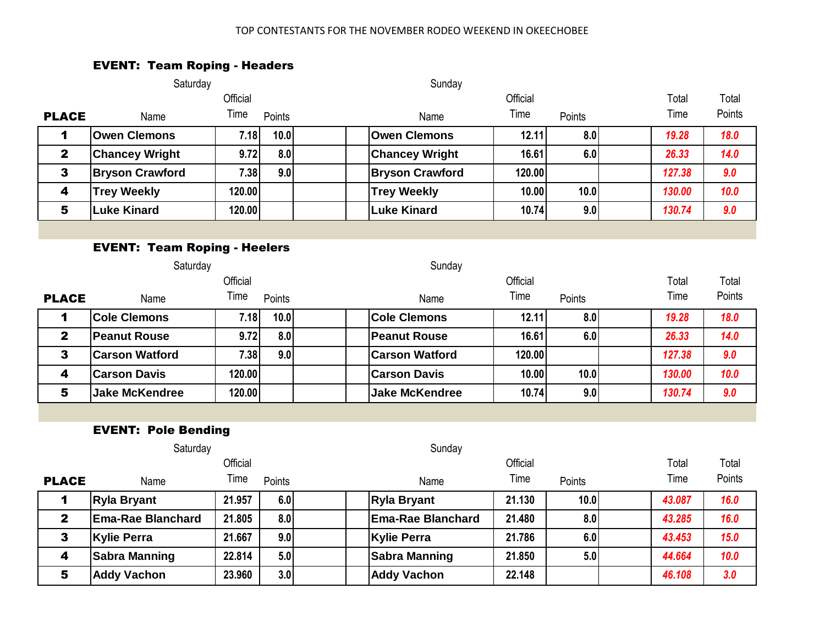## EVENT: Team Roping - Headers

|                                     | Saturday                   |          |        | Sunday                   |          |        |        |        |  |  |
|-------------------------------------|----------------------------|----------|--------|--------------------------|----------|--------|--------|--------|--|--|
|                                     |                            | Official |        |                          | Official |        | Total  | Total  |  |  |
| <b>PLACE</b>                        | Name                       | Time     | Points | Name                     | Time     | Points | Time   | Points |  |  |
| 1                                   | <b>Owen Clemons</b>        | 7.18     | 10.0   | <b>Owen Clemons</b>      | 12.11    | 8.0    | 19.28  | 18.0   |  |  |
| $\mathbf{2}$                        | <b>Chancey Wright</b>      | 9.72     | 8.0    | <b>Chancey Wright</b>    | 16.61    | 6.0    | 26.33  | 14.0   |  |  |
| $\mathbf{3}$                        | <b>Bryson Crawford</b>     | 7.38     | 9.0    | <b>Bryson Crawford</b>   | 120.00   |        | 127.38 | 9.0    |  |  |
| $\overline{\mathbf{4}}$             | <b>Trey Weekly</b>         | 120.00   |        | <b>Trey Weekly</b>       | 10.00    | 10.0   | 130.00 | 10.0   |  |  |
| 5                                   | <b>Luke Kinard</b>         | 120.00   |        | <b>Luke Kinard</b>       | 10.74    | 9.0    | 130.74 | 9.0    |  |  |
|                                     |                            |          |        |                          |          |        |        |        |  |  |
| <b>EVENT: Team Roping - Heelers</b> |                            |          |        |                          |          |        |        |        |  |  |
|                                     | Saturday                   |          |        | Sunday                   |          |        |        |        |  |  |
|                                     |                            | Official |        |                          | Official |        | Total  | Total  |  |  |
| <b>PLACE</b>                        | Name                       | Time     | Points | Name                     | Time     | Points | Time   | Points |  |  |
| $\mathbf 1$                         | <b>Cole Clemons</b>        | 7.18     | 10.0   | <b>Cole Clemons</b>      | 12.11    | 8.0    | 19.28  | 18.0   |  |  |
| $\mathbf{2}$                        | <b>Peanut Rouse</b>        | 9.72     | 8.0    | <b>Peanut Rouse</b>      | 16.61    | 6.0    | 26.33  | 14.0   |  |  |
| $\mathbf{3}$                        | <b>Carson Watford</b>      | 7.38     | 9.0    | <b>Carson Watford</b>    | 120.00   |        | 127.38 | 9.0    |  |  |
| $\overline{\mathbf{4}}$             | <b>Carson Davis</b>        | 120.00   |        | <b>Carson Davis</b>      | 10.00    | 10.0   | 130.00 | 10.0   |  |  |
| 5                                   | <b>Jake McKendree</b>      | 120.00   |        | <b>Jake McKendree</b>    | 10.74    | 9.0    | 130.74 | 9.0    |  |  |
|                                     |                            |          |        |                          |          |        |        |        |  |  |
|                                     | <b>EVENT: Pole Bending</b> |          |        |                          |          |        |        |        |  |  |
|                                     | Saturday                   |          |        | Sunday                   |          |        |        |        |  |  |
|                                     |                            | Official |        |                          | Official |        | Total  | Total  |  |  |
| <b>PLACE</b>                        | Name                       | Time     | Points | Name                     | Time     | Points | Time   | Points |  |  |
| $\mathbf 1$                         | <b>Ryla Bryant</b>         | 21.957   | 6.0    | <b>Ryla Bryant</b>       | 21.130   | 10.0   | 43.087 | 16.0   |  |  |
| $\mathbf{2}$                        | <b>Ema-Rae Blanchard</b>   | 21.805   | 8.0    | <b>Ema-Rae Blanchard</b> | 21.480   | 8.0    | 43.285 | 16.0   |  |  |
| 3                                   | <b>Kylie Perra</b>         | 21.667   | 9.0    | <b>Kylie Perra</b>       | 21.786   | 6.0    | 43.453 | 15.0   |  |  |
| 4                                   | <b>Sabra Manning</b>       | 22.814   | 5.0    | <b>Sabra Manning</b>     | 21.850   | 5.0    | 44.664 | 10.0   |  |  |
| 5                                   | <b>Addy Vachon</b>         | 23.960   | 3.0    | <b>Addy Vachon</b>       | 22.148   |        | 46.108 | 3.0    |  |  |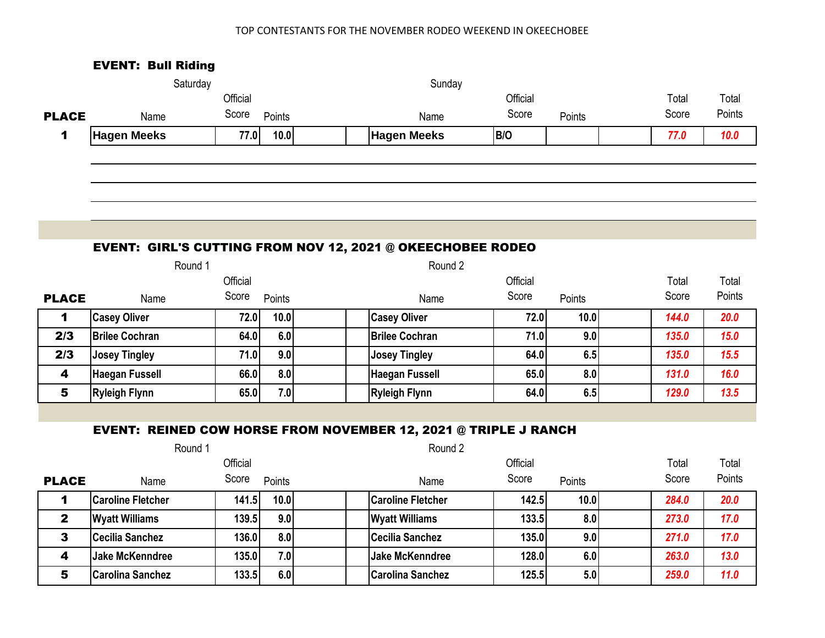|                         | <b>EVENT: Bull Riding</b> |          |        |                                                                        |          |        |  |       |        |  |  |
|-------------------------|---------------------------|----------|--------|------------------------------------------------------------------------|----------|--------|--|-------|--------|--|--|
|                         | Saturday                  |          |        | Sunday                                                                 |          |        |  |       |        |  |  |
|                         |                           | Official |        |                                                                        | Official |        |  |       |        |  |  |
| <b>PLACE</b>            | Name                      | Score    | Points | Name                                                                   | Score    | Points |  | Score | Points |  |  |
| 1                       | <b>Hagen Meeks</b>        | 77.0     | 10.0   | <b>Hagen Meeks</b>                                                     | B/O      |        |  | 77.0  | 10.0   |  |  |
|                         |                           |          |        |                                                                        |          |        |  |       |        |  |  |
|                         |                           |          |        |                                                                        |          |        |  |       |        |  |  |
|                         |                           |          |        |                                                                        |          |        |  |       |        |  |  |
|                         |                           |          |        |                                                                        |          |        |  |       |        |  |  |
|                         |                           |          |        |                                                                        |          |        |  |       |        |  |  |
|                         |                           |          |        | <b>EVENT: GIRL'S CUTTING FROM NOV 12, 2021 @ OKEECHOBEE RODEO</b>      |          |        |  |       |        |  |  |
|                         | Round 2<br>Round 1        |          |        |                                                                        |          |        |  |       |        |  |  |
|                         |                           | Official |        |                                                                        | Official |        |  | Total | Total  |  |  |
| <b>PLACE</b>            | Name                      | Score    | Points | Name                                                                   | Score    | Points |  | Score | Points |  |  |
| 1                       | <b>Casey Oliver</b>       | 72.0     | 10.0   | <b>Casey Oliver</b>                                                    | 72.0     | 10.0   |  | 144.0 | 20.0   |  |  |
| 2/3                     | <b>Brilee Cochran</b>     | 64.0     | 6.0    | <b>Brilee Cochran</b>                                                  | 71.0     | 9.0    |  | 135.0 | 15.0   |  |  |
| 2/3                     | <b>Josey Tingley</b>      | 71.0     | 9.0    | <b>Josey Tingley</b>                                                   | 64.0     | 6.5    |  | 135.0 | 15.5   |  |  |
| 4                       | <b>Haegan Fussell</b>     | 66.0     | 8.0    | <b>Haegan Fussell</b>                                                  | 65.0     | 8.0    |  | 131.0 | 16.0   |  |  |
| 5                       | <b>Ryleigh Flynn</b>      | 65.0     | 7.0    | <b>Ryleigh Flynn</b>                                                   | 64.0     | 6.5    |  | 129.0 | 13.5   |  |  |
|                         |                           |          |        |                                                                        |          |        |  |       |        |  |  |
|                         |                           |          |        | <b>EVENT: REINED COW HORSE FROM NOVEMBER 12, 2021 @ TRIPLE J RANCH</b> |          |        |  |       |        |  |  |
|                         | Round 1                   |          |        | Round 2                                                                |          |        |  |       |        |  |  |
|                         |                           | Official |        |                                                                        | Official |        |  | Total | Total  |  |  |
| <b>PLACE</b>            | Name                      | Score    | Points | Name                                                                   | Score    | Points |  | Score | Points |  |  |
| 1                       | <b>Caroline Fletcher</b>  | 141.5    | 10.0   | <b>Caroline Fletcher</b>                                               | 142.5    | 10.0   |  | 284.0 | 20.0   |  |  |
| $\mathbf{2}$            | <b>Wyatt Williams</b>     | 139.5    | 9.0    | <b>Wyatt Williams</b>                                                  | 133.5    | 8.0    |  | 273.0 | 17.0   |  |  |
| $\mathbf{3}$            | <b>Cecilia Sanchez</b>    | 136.0    | 8.0    | <b>Cecilia Sanchez</b>                                                 | 135.0    | 9.0    |  | 271.0 | 17.0   |  |  |
| $\overline{\mathbf{4}}$ | <b>Jake McKenndree</b>    | 135.0    | 7.0    | <b>Jake McKenndree</b>                                                 | 128.0    | 6.0    |  | 263.0 | 13.0   |  |  |
| 5                       | <b>Carolina Sanchez</b>   | 133.5    | 6.0    | <b>Carolina Sanchez</b>                                                | 125.5    | 5.0    |  | 259.0 | 11.0   |  |  |